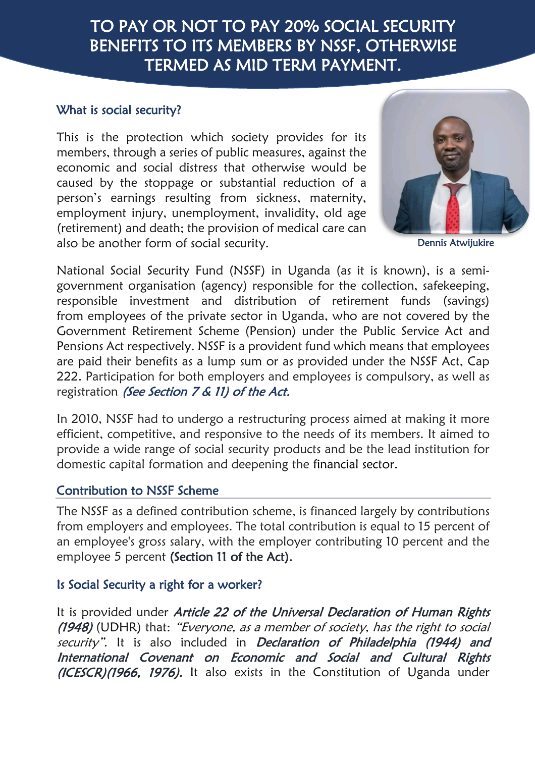# TO PAY OR NOT TO PAY 20% SOCIAL SECURITY BENEFITS TO ITS MEMBERS BY NSSF, OTHERWISE TERMED AS MID TERM PAYMENT.

#### What is social security?

This is the protection which society provides for its members, through a series of public measures, against the economic and social distress that otherwise would be caused by the stoppage or substantial reduction of a person's earnings resulting from sickness, maternity, employment injury, unemployment, invalidity, old age (retirement) and death; the provision of medical care can also be another form of social security.

l



Dennis Atwijukire

National Social Security Fund (NSSF) in Uganda (as it is known), is a semigovernment organisation (agency) responsible for the collection, safekeeping, responsible investment and distribution of retirement funds (savings) from employees of the private sector in Uganda, who are not covered by the Government Retirement Scheme (Pension) under the Public Service Act and Pensions Act respectively. NSSF is a provident fund which means that employees are paid their benefits as a lump sum or as provided under the NSSF Act, Cap 222. Participation for both employers and employees is compulsory, as well as registration (See Section 7 & 11) of the Act.

In 2010, NSSF had to undergo a restructuring process aimed at making it more efficient, competitive, and responsive to the needs of its members. It aimed to provide a wide range of social security products and be the lead institution for domestic capital formation and deepening the [financial sector.](/wiki/Financial_sector)

#### Contribution to NSSF Scheme

The NSSF as a defined contribution scheme, is financed largely by contributions from employers and employees. The total contribution is equal to 15 percent of an employee's gross salary, with the employer contributing 10 percent and the employee 5 percent (Section 11 of the Act).

#### Is Social Security a right for a worker?

It is provided under Article 22 of the Universal Declaration of Human Rights (1948) (UDHR) that: "Everyone, as a member of society, has the right to social security". It is also included in Declaration of Philadelphia (1944) and International Covenant on Economic and Social and Cultural Rights (ICESCR)(1966, 1976). It also exists in the Constitution of Uganda under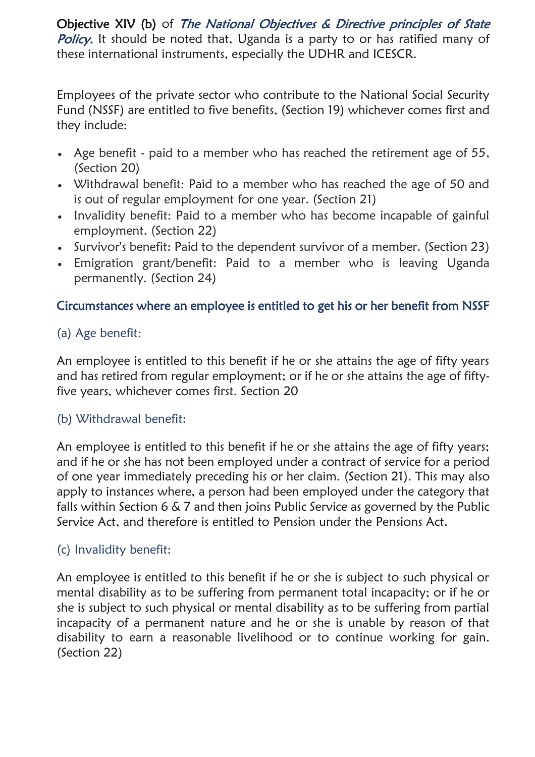Objective XIV (b) of The National Objectives & Directive principles of State Policy. It should be noted that, Uganda is a party to or has ratified many of these international instruments, especially the UDHR and ICESCR.

Employees of the private sector who contribute to the National Social Security Fund (NSSF) are entitled to five benefits, (Section 19) whichever comes first and they include:

- Age benefit paid to a member who has reached the retirement age of 55, (Section 20)
- Withdrawal benefit: Paid to a member who has reached the age of 50 and is out of regular employment for one year. (Section 21)
- Invalidity benefit: Paid to a member who has become incapable of gainful employment. (Section 22)
- Survivor's benefit: Paid to the dependent survivor of a member. (Section 23)
- Emigration grant/benefit: Paid to a member who is leaving Uganda permanently. (Section 24)

## Circumstances where an employee is entitled to get his or her benefit from NSSF

## (a) Age benefit:

An employee is entitled to this benefit if he or she attains the age of fifty years and has retired from regular employment; or if he or she attains the age of fiftyfive years, whichever comes first. Section 20

#### (b) Withdrawal benefit:

An employee is entitled to this benefit if he or she attains the age of fifty years; and if he or she has not been employed under a contract of service for a period of one year immediately preceding his or her claim. (Section 21). This may also apply to instances where, a person had been employed under the category that falls within Section 6 & 7 and then joins Public Service as governed by the Public Service Act, and therefore is entitled to Pension under the Pensions Act.

#### (c) Invalidity benefit:

An employee is entitled to this benefit if he or she is subject to such physical or mental disability as to be suffering from permanent total incapacity; or if he or she is subject to such physical or mental disability as to be suffering from partial incapacity of a permanent nature and he or she is unable by reason of that disability to earn a reasonable livelihood or to continue working for gain. (Section 22)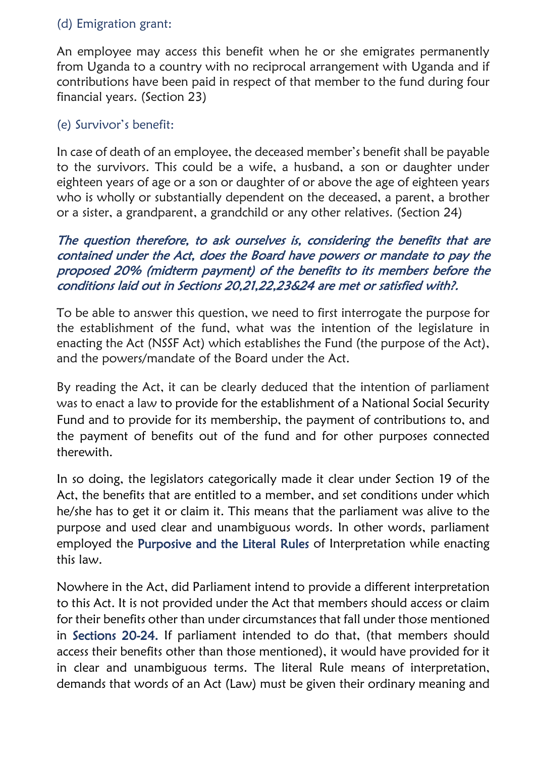#### (d) Emigration grant:

An employee may access this benefit when he or she emigrates permanently from Uganda to a country with no reciprocal arrangement with Uganda and if contributions have been paid in respect of that member to the fund during four financial years. (Section 23)

## (e) Survivor's benefit:

In case of death of an employee, the deceased member's benefit shall be payable to the survivors. This could be a wife, a husband, a son or daughter under eighteen years of age or a son or daughter of or above the age of eighteen years who is wholly or substantially dependent on the deceased, a parent, a brother or a sister, a grandparent, a grandchild or any other relatives. (Section 24)

### The question therefore, to ask ourselves is, considering the benefits that are contained under the Act, does the Board have powers or mandate to pay the proposed 20% (midterm payment) of the benefits to its members before the conditions laid out in Sections 20,21,22,23&24 are met or satisfied with?.

To be able to answer this question, we need to first interrogate the purpose for the establishment of the fund, what was the intention of the legislature in enacting the Act (NSSF Act) which establishes the Fund (the purpose of the Act), and the powers/mandate of the Board under the Act.

By reading the Act, it can be clearly deduced that the intention of parliament was to enact a law to provide for the establishment of a National Social Security Fund and to provide for its membership, the payment of contributions to, and the payment of benefits out of the fund and for other purposes connected therewith.

In so doing, the legislators categorically made it clear under Section 19 of the Act, the benefits that are entitled to a member, and set conditions under which he/she has to get it or claim it. This means that the parliament was alive to the purpose and used clear and unambiguous words. In other words, parliament employed the Purposive and the Literal Rules of Interpretation while enacting this law.

Nowhere in the Act, did Parliament intend to provide a different interpretation to this Act. It is not provided under the Act that members should access or claim for their benefits other than under circumstances that fall under those mentioned in Sections 20-24. If parliament intended to do that, (that members should access their benefits other than those mentioned), it would have provided for it in clear and unambiguous terms. The literal Rule means of interpretation, demands that words of an Act (Law) must be given their ordinary meaning and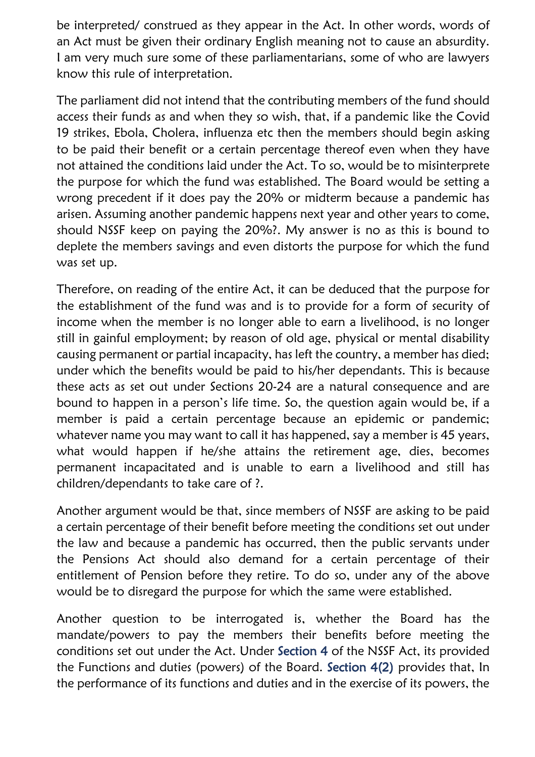be interpreted/ construed as they appear in the Act. In other words, words of an Act must be given their ordinary English meaning not to cause an absurdity. I am very much sure some of these parliamentarians, some of who are lawyers know this rule of interpretation.

The parliament did not intend that the contributing members of the fund should access their funds as and when they so wish, that, if a pandemic like the Covid 19 strikes, Ebola, Cholera, influenza etc then the members should begin asking to be paid their benefit or a certain percentage thereof even when they have not attained the conditions laid under the Act. To so, would be to misinterprete the purpose for which the fund was established. The Board would be setting a wrong precedent if it does pay the 20% or midterm because a pandemic has arisen. Assuming another pandemic happens next year and other years to come, should NSSF keep on paying the 20%?. My answer is no as this is bound to deplete the members savings and even distorts the purpose for which the fund was set up.

Therefore, on reading of the entire Act, it can be deduced that the purpose for the establishment of the fund was and is to provide for a form of security of income when the member is no longer able to earn a livelihood, is no longer still in gainful employment; by reason of old age, physical or mental disability causing permanent or partial incapacity, has left the country, a member has died; under which the benefits would be paid to his/her dependants. This is because these acts as set out under Sections 20-24 are a natural consequence and are bound to happen in a person's life time. So, the question again would be, if a member is paid a certain percentage because an epidemic or pandemic; whatever name you may want to call it has happened, say a member is 45 years, what would happen if he/she attains the retirement age, dies, becomes permanent incapacitated and is unable to earn a livelihood and still has children/dependants to take care of ?.

Another argument would be that, since members of NSSF are asking to be paid a certain percentage of their benefit before meeting the conditions set out under the law and because a pandemic has occurred, then the public servants under the Pensions Act should also demand for a certain percentage of their entitlement of Pension before they retire. To do so, under any of the above would be to disregard the purpose for which the same were established.

Another question to be interrogated is, whether the Board has the mandate/powers to pay the members their benefits before meeting the conditions set out under the Act. Under Section 4 of the NSSF Act, its provided the Functions and duties (powers) of the Board. Section 4(2) provides that, In the performance of its functions and duties and in the exercise of its powers, the